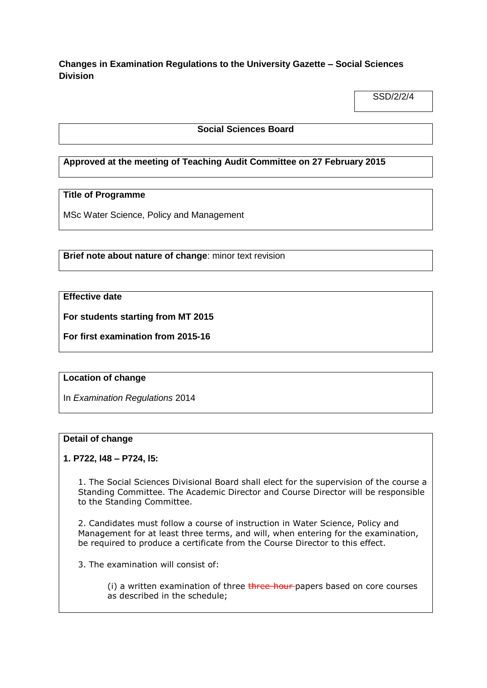**Changes in Examination Regulations to the University Gazette – Social Sciences Division**

SSD/2/2/4

### **Social Sciences Board**

# **Approved at the meeting of Teaching Audit Committee on 27 February 2015**

# **Title of Programme**

MSc Water Science, Policy and Management

**Brief note about nature of change**: minor text revision

# **Effective date**

**For students starting from MT 2015**

**For first examination from 2015-16**

#### **Location of change**

In *Examination Regulations* 2014

#### **Detail of change**

#### **1. P722, l48 – P724, l5:**

1. The Social Sciences Divisional Board shall elect for the supervision of the course a Standing Committee. The Academic Director and Course Director will be responsible to the Standing Committee.

2. Candidates must follow a course of instruction in Water Science, Policy and Management for at least three terms, and will, when entering for the examination, be required to produce a certificate from the Course Director to this effect.

3. The examination will consist of:

(i) a written examination of three three-hour-papers based on core courses as described in the schedule;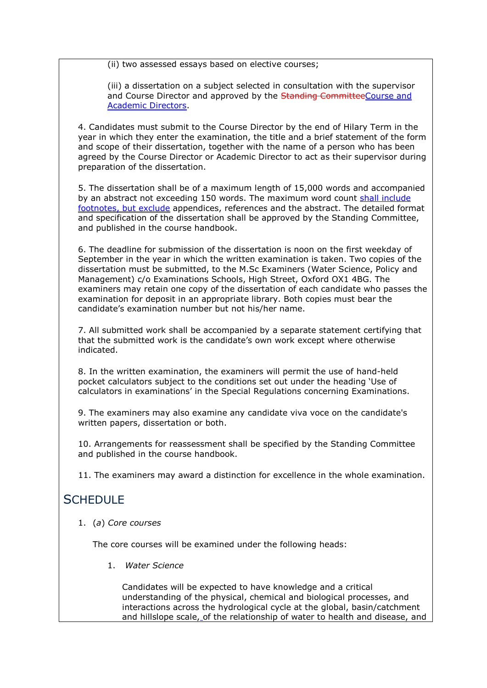(ii) two assessed essays based on elective courses;

(iii) a dissertation on a subject selected in consultation with the supervisor and Course Director and approved by the Standing CommitteeCourse and Academic Directors.

4. Candidates must submit to the Course Director by the end of Hilary Term in the year in which they enter the examination, the title and a brief statement of the form and scope of their dissertation, together with the name of a person who has been agreed by the Course Director or Academic Director to act as their supervisor during preparation of the dissertation.

5. The dissertation shall be of a maximum length of 15,000 words and accompanied by an abstract not exceeding 150 words. The maximum word count shall include footnotes, but exclude appendices, references and the abstract. The detailed format and specification of the dissertation shall be approved by the Standing Committee, and published in the course handbook.

6. The deadline for submission of the dissertation is noon on the first weekday of September in the year in which the written examination is taken. Two copies of the dissertation must be submitted, to the M.Sc Examiners (Water Science, Policy and Management) c/o Examinations Schools, High Street, Oxford OX1 4BG. The examiners may retain one copy of the dissertation of each candidate who passes the examination for deposit in an appropriate library. Both copies must bear the candidate's examination number but not his/her name.

7. All submitted work shall be accompanied by a separate statement certifying that that the submitted work is the candidate's own work except where otherwise indicated.

8. In the written examination, the examiners will permit the use of hand-held pocket calculators subject to the conditions set out under the heading 'Use of calculators in examinations' in the Special Regulations concerning Examinations.

9. The examiners may also examine any candidate viva voce on the candidate's written papers, dissertation or both.

10. Arrangements for reassessment shall be specified by the Standing Committee and published in the course handbook.

11. The examiners may award a distinction for excellence in the whole examination.

# SCHEDULE

1. (*a*) *Core courses*

The core courses will be examined under the following heads:

1. *Water Science*

Candidates will be expected to have knowledge and a critical understanding of the physical, chemical and biological processes, and interactions across the hydrological cycle at the global, basin/catchment and hillslope scale, of the relationship of water to health and disease, and